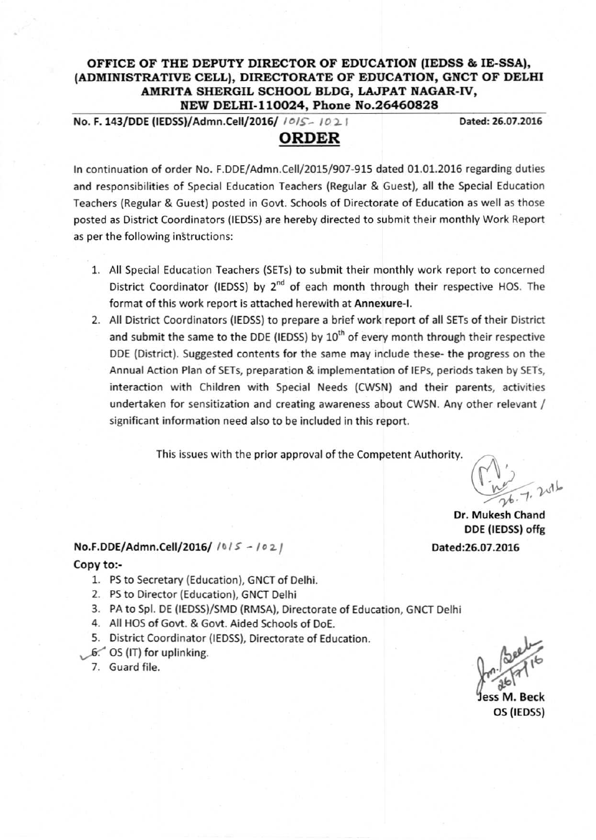# OFFICE OF THE DEPUTY DIRECTOR OF EDUCATION (IEDSS & IE-SSA), (ADMINISTRATIVE CELL), DIRECTORATE OF EDUCATION, GNCT OF DELHI AMRITA SHERGIL SCHOOL BLDG, LAJPAT NAGAR-IV, NEW DELHI-ll0024, Phone No.26460828

No. F.143/DDE (IEDSS)/Admn.Celi/2016/ */0/5:\_ /0 ~* I Dated'26.07.2016

# ORDER

In continuation of order No. F.DDE/Admn.CeI1/2015/907-915 dated 01.01.2016 regarding duties and responsibilities of Special Education Teachers (Regular & Guest), all the Special Education Teachers (Regular & Guest) posted in Govt. Schools of Directorate of Education as well as those posted as District Coordinators (IE055) are hereby directed to submit their monthly Work Report as per the following instructions:

- 1. All Special Education Teachers (SETs) to submit their monthly work report to concerned District Coordinator (IEDSS) by 2<sup>nd</sup> of each month through their respective HOS. The format of this work report is attached herewith at Annexure-I.
- 2. All District Coordinators (IEDSS) to prepare a brief work report of all SETs of their District and submit the same to the DDE (IEDSS) by  $10<sup>th</sup>$  of every month through their respective DDE (District). Suggested contents for the same may include these- the progress on the Annual Action Plan of SETs, preparation & implementation of IEPs, periods taken by SETs, interaction with Children with Special Needs (CWSN) and their parents, activities undertaken for sensitization and creating awareness about CWSN. Any other relevant / significant information need also to be included in this report.

This issues with the prior approval of the Competent Authority.

 $\frac{h}{2}$ 

Dr. Mukesh Chand DDE (IEDSS) offg Dated:26.07.2016

# No.F.DDE/Admn.Cell/2016/  $1015 - 1021$

## Copy to:-

- 1. PSto Secretary (Education), GNCT of Delhi.
- 2. PSto Director (Education), GNCT Delhi
- 3. PA to Spl. DE (IEDSS)/SMD (RMSA), Directorate of Education, GNCT Delhi
- 4. All HOS of Govt. & Govt. Aided Schools of DoE.
- 5. District Coordinator (IEDSS), Directorate of Education.
- $6.$  OS (IT) for uplinking.
- 7. Guard file.

 $\int_{\text{res}}^{\infty} \frac{\sqrt{3}e^{i\theta}}{i\theta}e^{i\theta}$ <br>Jess M. Beck<br>OS (IEDSS)

OS (IEDSS)